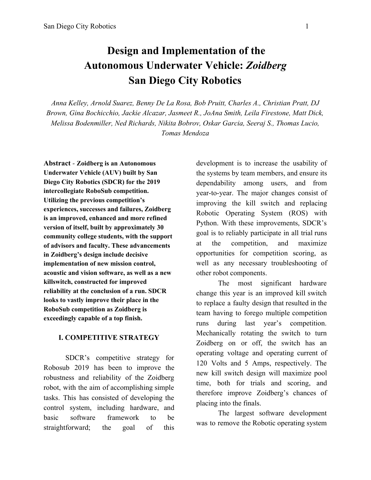### **Design and Implementation of the Autonomous Underwater Vehicle:** *Zoidberg* **San Diego City Robotics**

*Anna Kelley, Arnold Suarez, Benny De La Rosa, Bob Pruitt, Charles A., Christian Pratt, DJ Brown, Gina Bochicchio, Jackie Alcazar, Jasmeet R., JoAna Smith, Leila Firestone, Matt Dick, Melissa Bodenmiller, Ned Richards, Nikita Bobrov, Oskar Garcia, Seeraj S., Thomas Lucio, Tomas Mendoza*

**Abstract** *-* **Zoidberg is an Autonomous Underwater Vehicle (AUV) built by San Diego City Robotics (SDCR) for the 2019 intercollegiate RoboSub competition. Utilizing the previous competition's experiences, successes and failures, Zoidberg is an improved, enhanced and more refined version of itself, built by approximately 30 community college students, with the support of advisors and faculty. These advancements in Zoidberg's design include decisive implementation of new mission control, acoustic and vision software, as well as a new killswitch, constructed for improved reliability at the conclusion of a run. SDCR looks to vastly improve their place in the RoboSub competition as Zoidberg is exceedingly capable of a top finish.**

#### **I. COMPETITIVE STRATEGY**

SDCR's competitive strategy for Robosub 2019 has been to improve the robustness and reliability of the Zoidberg robot, with the aim of accomplishing simple tasks. This has consisted of developing the control system, including hardware, and basic software framework to be straightforward; the goal of this

development is to increase the usability of the systems by team members, and ensure its dependability among users, and from year-to-year. The major changes consist of improving the kill switch and replacing Robotic Operating System (ROS) with Python. With these improvements, SDCR's goal is to reliably participate in all trial runs at the competition, and maximize opportunities for competition scoring, as well as any necessary troubleshooting of other robot components.

The most significant hardware change this year is an improved kill switch to replace a faulty design that resulted in the team having to forego multiple competition runs during last year's competition. Mechanically rotating the switch to turn Zoidberg on or off, the switch has an operating voltage and operating current of 120 Volts and 5 Amps, respectively. The new kill switch design will maximize pool time, both for trials and scoring, and therefore improve Zoidberg's chances of placing into the finals.

The largest software development was to remove the Robotic operating system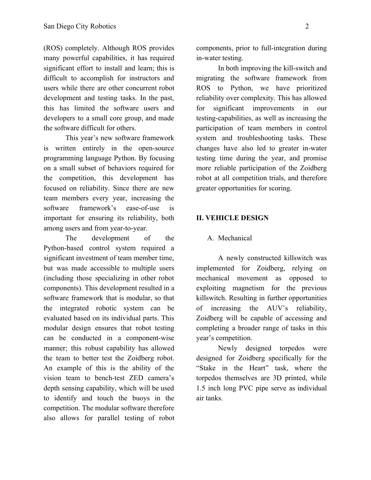(ROS) completely. Although ROS provides many powerful capabilities, it has required significant effort to install and learn; this is difficult to accomplish for instructors and users while there are other concurrent robot development and testing tasks. In the past, this has limited the software users and developers to a small core group, and made the software difficult for others.

This year's new software framework is written entirely in the open-source programming language Python. By focusing on a small subset of behaviors required for the competition, this development has focused on reliability. Since there are new team members every year, increasing the software framework's ease-of-use is important for ensuring its reliability, both among users and from year-to-year.

The development of the Python-based control system required a significant investment of team member time, but was made accessible to multiple users (including those specializing in other robot components). This development resulted in a software framework that is modular, so that the integrated robotic system can be evaluated based on its individual parts. This modular design ensures that robot testing can be conducted in a component-wise manner; this robust capability has allowed the team to better test the Zoidberg robot. An example of this is the ability of the vision team to bench-test ZED camera's depth sensing capability, which will be used to identify and touch the buoys in the competition. The modular software therefore also allows for parallel testing of robot

components, prior to full-integration during in-water testing.

In both improving the kill-switch and migrating the software framework from ROS to Python, we have prioritized reliability over complexity. This has allowed for significant improvements in our testing-capabilities, as well as increasing the participation of team members in control system and troubleshooting tasks. These changes have also led to greater in-water testing time during the year, and promise more reliable participation of the Zoidberg robot at all competition trials, and therefore greater opportunities for scoring.

#### **II. VEHICLE DESIGN**

#### A. Mechanical

A newly constructed killswitch was implemented for Zoidberg, relying on mechanical movement as opposed to exploiting magnetism for the previous killswitch. Resulting in further opportunities of increasing the AUV's reliability, Zoidberg will be capable of accessing and completing a broader range of tasks in this year's competition.

Newly designed torpedos were designed for Zoidberg specifically for the "Stake in the Heart" task, where the torpedos themselves are 3D printed, while 1.5 inch long PVC pipe serve as individual air tanks.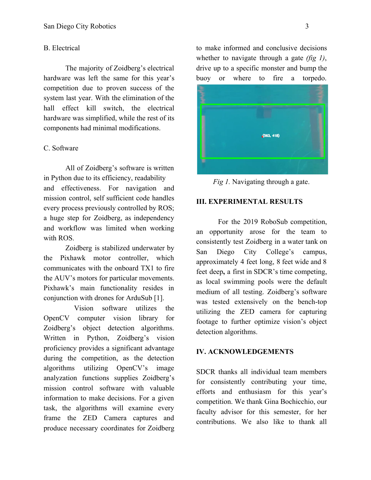#### B. Electrical

The majority of Zoidberg's electrical hardware was left the same for this year's competition due to proven success of the system last year. With the elimination of the hall effect kill switch, the electrical hardware was simplified, while the rest of its components had minimal modifications.

#### C. Software

All of Zoidberg's software is written in Python due to its efficiency, readability and effectiveness. For navigation and mission control, self sufficient code handles every process previously controlled by ROS; a huge step for Zoidberg, as independency and workflow was limited when working with ROS.

Zoidberg is stabilized underwater by the Pixhawk motor controller, which communicates with the onboard TX1 to fire the AUV's motors for particular movements. Pixhawk's main functionality resides in conjunction with drones for ArduSub [1].

Vision software utilizes the OpenCV computer vision library for Zoidberg's object detection algorithms. Written in Python, Zoidberg's vision proficiency provides a significant advantage during the competition, as the detection algorithms utilizing OpenCV's image analyzation functions supplies Zoidberg's mission control software with valuable information to make decisions. For a given task, the algorithms will examine every frame the ZED Camera captures and produce necessary coordinates for Zoidberg

to make informed and conclusive decisions whether to navigate through a gate *(fig 1)*, drive up to a specific monster and bump the buoy or where to fire a torpedo.



*Fig 1.* Navigating through a gate.

#### **III. EXPERIMENTAL RESULTS**

For the 2019 RoboSub competition, an opportunity arose for the team to consistently test Zoidberg in a water tank on San Diego City College's campus, approximately 4 feet long, 8 feet wide and 8 feet deep**,** a first in SDCR's time competing, as local swimming pools were the default medium of all testing. Zoidberg's software was tested extensively on the bench-top utilizing the ZED camera for capturing footage to further optimize vision's object detection algorithms.

#### **IV. ACKNOWLEDGEMENTS**

SDCR thanks all individual team members for consistently contributing your time, efforts and enthusiasm for this year's competition. We thank Gina Bochicchio, our faculty advisor for this semester, for her contributions. We also like to thank all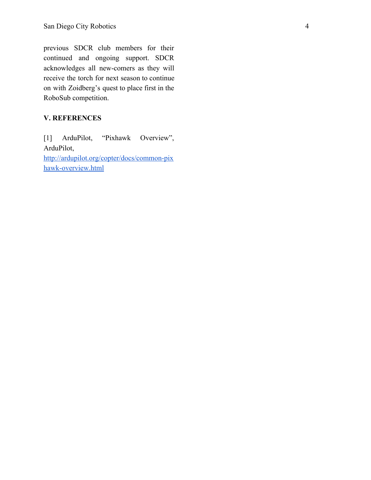previous SDCR club members for their continued and ongoing support. SDCR acknowledges all new-comers as they will receive the torch for next season to continue on with Zoidberg's quest to place first in the RoboSub competition.

### **V. REFERENCES**

[1] ArduPilot, "Pixhawk Overview", ArduPilot, [http://ardupilot.org/copter/docs/common-pix](http://ardupilot.org/copter/docs/common-pixhawk-overview.html) [hawk-overview.html](http://ardupilot.org/copter/docs/common-pixhawk-overview.html)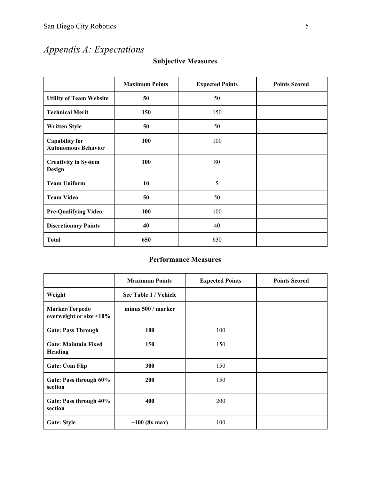# *Appendix A: Expectations*

| <b>Subjective Measures</b> |  |
|----------------------------|--|
|----------------------------|--|

|                                                     | <b>Maximum Points</b> | <b>Expected Points</b> | <b>Points Scored</b> |
|-----------------------------------------------------|-----------------------|------------------------|----------------------|
| <b>Utility of Team Website</b>                      | 50                    | 50                     |                      |
| <b>Technical Merit</b>                              | 150                   | 150                    |                      |
| <b>Written Style</b>                                | 50                    | 50                     |                      |
| <b>Capability for</b><br><b>Autonomous Behavior</b> | 100                   | 100                    |                      |
| <b>Creativity in System</b><br>Design               | 100                   | 80                     |                      |
| <b>Team Uniform</b>                                 | 10                    | 5                      |                      |
| <b>Team Video</b>                                   | 50                    | 50                     |                      |
| <b>Pre-Qualifying Video</b>                         | 100                   | 100                    |                      |
| <b>Discretionary Points</b>                         | 40                    | 40                     |                      |
| <b>Total</b>                                        | 650                   | 630                    |                      |

### **Performance Measures**

|                                           | <b>Maximum Points</b> | <b>Expected Points</b> | <b>Points Scored</b> |
|-------------------------------------------|-----------------------|------------------------|----------------------|
| Weight                                    | See Table 1 / Vehicle |                        |                      |
| Marker/Torpedo<br>overweight or size <10% | minus 500 / marker    |                        |                      |
| <b>Gate: Pass Through</b>                 | 100                   | 100                    |                      |
| <b>Gate: Maintain Fixed</b><br>Heading    | 150                   | 150                    |                      |
| <b>Gate: Coin Flip</b>                    | 300                   | 150                    |                      |
| Gate: Pass through 60%<br>section         | <b>200</b>            | 150                    |                      |
| Gate: Pass through 40%<br>section         | 400                   | 200                    |                      |
| <b>Gate: Style</b>                        | $+100$ (8x max)       | 100                    |                      |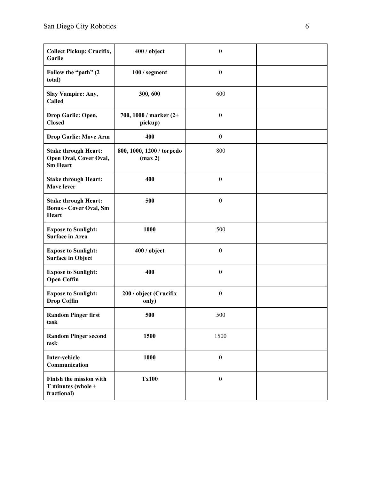| <b>Collect Pickup: Crucifix,</b><br>Garlie                               | 400 / object                         | $\boldsymbol{0}$ |  |
|--------------------------------------------------------------------------|--------------------------------------|------------------|--|
| Follow the "path" (2<br>total)                                           | $100/$ segment                       | $\boldsymbol{0}$ |  |
| <b>Slay Vampire: Any,</b><br>Called                                      | 300, 600                             | 600              |  |
| Drop Garlic: Open,<br><b>Closed</b>                                      | 700, 1000 / marker (2+<br>pickup)    | $\boldsymbol{0}$ |  |
| <b>Drop Garlic: Move Arm</b>                                             | 400                                  | $\boldsymbol{0}$ |  |
| <b>Stake through Heart:</b><br>Open Oval, Cover Oval,<br><b>Sm Heart</b> | 800, 1000, 1200 / torpedo<br>(max 2) | 800              |  |
| <b>Stake through Heart:</b><br><b>Move lever</b>                         | 400                                  | $\boldsymbol{0}$ |  |
| <b>Stake through Heart:</b><br><b>Bonus - Cover Oval, Sm</b><br>Heart    | 500                                  | $\boldsymbol{0}$ |  |
| <b>Expose to Sunlight:</b><br><b>Surface in Area</b>                     | 1000                                 | 500              |  |
| <b>Expose to Sunlight:</b><br><b>Surface in Object</b>                   | 400/object                           | $\boldsymbol{0}$ |  |
| <b>Expose to Sunlight:</b><br><b>Open Coffin</b>                         | 400                                  | $\boldsymbol{0}$ |  |
| <b>Expose to Sunlight:</b><br><b>Drop Coffin</b>                         | 200 / object (Crucifix<br>only)      | $\boldsymbol{0}$ |  |
| <b>Random Pinger first</b><br>task                                       | 500                                  | 500              |  |
| <b>Random Pinger second</b><br>task                                      | 1500                                 | 1500             |  |
| <b>Inter-vehicle</b><br>Communication                                    | 1000                                 | $\boldsymbol{0}$ |  |
| Finish the mission with<br>T minutes (whole +<br>fractional)             | <b>Tx100</b>                         | $\boldsymbol{0}$ |  |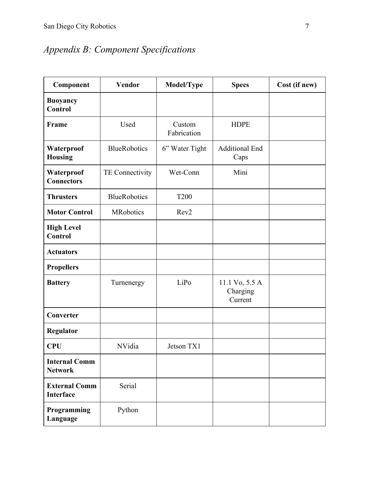# *Appendix B: Component Specifications*

| Component                                | <b>Vendor</b>       | Model/Type            | <b>Specs</b>                          | Cost (if new) |
|------------------------------------------|---------------------|-----------------------|---------------------------------------|---------------|
| <b>Buoyancy</b><br><b>Control</b>        |                     |                       |                                       |               |
| Frame                                    | Used                | Custom<br>Fabrication | <b>HDPE</b>                           |               |
| Waterproof<br><b>Housing</b>             | <b>BlueRobotics</b> | 6" Water Tight        | <b>Additional End</b><br>Caps         |               |
| Waterproof<br><b>Connectors</b>          | TE Connectivity     | Wet-Conn              | Mini                                  |               |
| <b>Thrusters</b>                         | <b>BlueRobotics</b> | <b>T200</b>           |                                       |               |
| <b>Motor Control</b>                     | <b>MRobotics</b>    | Rev <sub>2</sub>      |                                       |               |
| <b>High Level</b><br><b>Control</b>      |                     |                       |                                       |               |
| <b>Actuators</b>                         |                     |                       |                                       |               |
| <b>Propellers</b>                        |                     |                       |                                       |               |
| <b>Battery</b>                           | Turnenergy          | LiPo                  | 11.1 Vo, 5.5 A<br>Charging<br>Current |               |
| Converter                                |                     |                       |                                       |               |
| <b>Regulator</b>                         |                     |                       |                                       |               |
| <b>CPU</b>                               | NVidia              | Jetson TX1            |                                       |               |
| <b>Internal Comm</b><br><b>Network</b>   |                     |                       |                                       |               |
| <b>External Comm</b><br><b>Interface</b> | Serial              |                       |                                       |               |
| Programming<br>Language                  | Python              |                       |                                       |               |